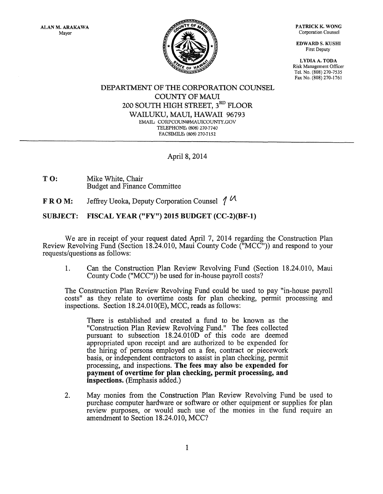PATRICK K. WONG Corporation Counsel

EDWARD S. KUSHI First Deputy

LYDIA A. TODA Risk Management Officer Tel. No. (808) 270-7535 Fax No. (808) 270-1761

## DEPARTMENT OF THE CORPORATION COUNSEL COUNTY OF MAUl 200 SOUTH HIGH STREET,  $\boldsymbol{3}^{\text{RD}}$  FLOOR WAILUKU, MAUl, HAWAII 96793 EMAIL: CORPCOUN@MAUICOUNTY.GOV TELEPHONE: (808) 270·7740 FACSIMILE: (808) 270-7152

## April 8, 2014

T O: Mike White, Chair Budget and Finance Committee

F R 0 M: Jeffrey Ueoka, Deputy Corporation Counsel *1* Vl

## SUBJECT: FISCAL YEAR ("FY") 2015 BUDGET (CC-2)(BF-1)

We are in receipt of your request dated April 7, 2014 regarding the Construction Plan Review Revolving Fund (Section 18.24.010, Maui County Code ("MCC")) and respond to your requests/questions as follows:

1. Can the Construction Plan Review Revolving Fund (Section 18.24.010, Maui County Code ("MCC")) be used for in-house payroll costs?

The Construction Plan Review Revolving Fund could be used to pay "in-house payroll costs" as they relate to overtime costs for plan checking, permit processing and inspections. Section 18.24.010(E), MCC, reads as follows:

There is established and created a fund to be known as the "Construction Plan Review Revolving Fund." The fees collected pursuant to subsection 18.24.010D of this code are deemed appropriated upon receipt and are authorized to be expended for the hiring of persons employed on a fee, contract or piecework basis, or independent contractors to assist in plan checking, permit processing, and inspections. **The fees may also be expended for payment of overtime for plan checking, permit processing, and inspections.** (Emphasis added.)

2. May monies from the Construction Plan Review Revolving Fund be used to purchase computer hardware or software or other equipment or supplies for plan review purposes, or would such use of the monies in the fund require an amendment to Section 18.24.010, MCC?